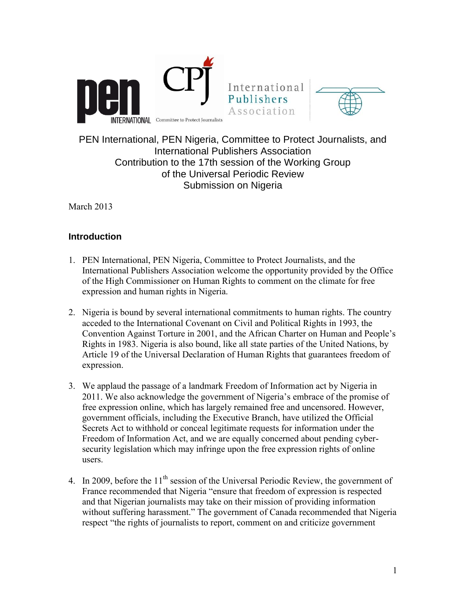

PEN International, PEN Nigeria, Committee to Protect Journalists, and International Publishers Association Contribution to the 17th session of the Working Group of the Universal Periodic Review Submission on Nigeria

March 2013

# **Introduction**

- 1. PEN International, PEN Nigeria, Committee to Protect Journalists, and the International Publishers Association welcome the opportunity provided by the Office of the High Commissioner on Human Rights to comment on the climate for free expression and human rights in Nigeria.
- 2. Nigeria is bound by several international commitments to human rights. The country acceded to the International Covenant on Civil and Political Rights in 1993, the Convention Against Torture in 2001, and the African Charter on Human and People's Rights in 1983. Nigeria is also bound, like all state parties of the United Nations, by Article 19 of the Universal Declaration of Human Rights that guarantees freedom of expression.
- 3. We applaud the passage of a landmark Freedom of Information act by Nigeria in 2011. We also acknowledge the government of Nigeria's embrace of the promise of free expression online, which has largely remained free and uncensored. However, government officials, including the Executive Branch, have utilized the Official Secrets Act to withhold or conceal legitimate requests for information under the Freedom of Information Act, and we are equally concerned about pending cybersecurity legislation which may infringe upon the free expression rights of online users.
- 4. In 2009, before the  $11<sup>th</sup>$  session of the Universal Periodic Review, the government of France recommended that Nigeria "ensure that freedom of expression is respected and that Nigerian journalists may take on their mission of providing information without suffering harassment." The government of Canada recommended that Nigeria respect "the rights of journalists to report, comment on and criticize government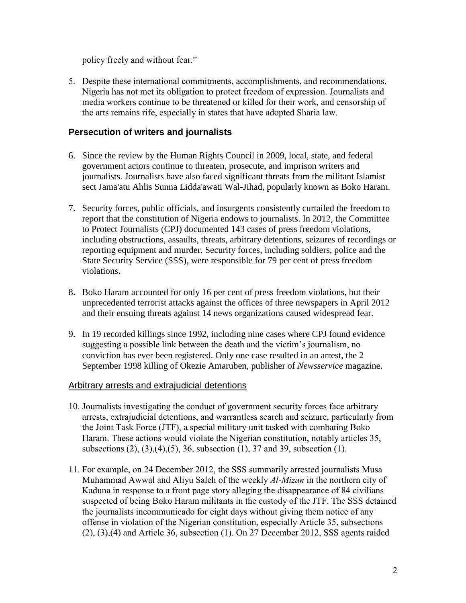policy freely and without fear."

5. Despite these international commitments, accomplishments, and recommendations, Nigeria has not met its obligation to protect freedom of expression. Journalists and media workers continue to be threatened or killed for their work, and censorship of the arts remains rife, especially in states that have adopted Sharia law.

## **Persecution of writers and journalists**

- 6. Since the review by the Human Rights Council in 2009, local, state, and federal government actors continue to threaten, prosecute, and imprison writers and journalists. Journalists have also faced significant threats from the militant Islamist sect Jama'atu Ahlis Sunna Lidda'awati Wal-Jihad, popularly known as Boko Haram.
- 7. Security forces, public officials, and insurgents consistently curtailed the freedom to report that the constitution of Nigeria endows to journalists. In 2012, the Committee to Protect Journalists (CPJ) documented 143 cases of press freedom violations, including obstructions, assaults, threats, arbitrary detentions, seizures of recordings or reporting equipment and murder. Security forces, including soldiers, police and the State Security Service (SSS), were responsible for 79 per cent of press freedom violations.
- 8. Boko Haram accounted for only 16 per cent of press freedom violations, but their unprecedented terrorist attacks against the offices of three newspapers in April 2012 and their ensuing threats against 14 news organizations caused widespread fear.
- 9. In 19 recorded killings since 1992, including nine cases where CPJ found evidence suggesting a possible link between the death and the victim's journalism, no conviction has ever been registered. Only one case resulted in an arrest, the 2 September 1998 killing of Okezie Amaruben, publisher of *Newsservice* magazine.

### Arbitrary arrests and extrajudicial detentions

- 10. Journalists investigating the conduct of government security forces face arbitrary arrests, extrajudicial detentions, and warrantless search and seizure, particularly from the Joint Task Force (JTF), a special military unit tasked with combating Boko Haram. These actions would violate the Nigerian constitution, notably articles 35, subsections (2), (3),(4),(5), 36, subsection (1), 37 and 39, subsection (1).
- 11. For example, on 24 December 2012, the SSS summarily arrested journalists Musa Muhammad Awwal and Aliyu Saleh of the weekly *Al-Mizan* in the northern city of Kaduna in response to a front page story alleging the disappearance of 84 civilians suspected of being Boko Haram militants in the custody of the JTF. The SSS detained the journalists incommunicado for eight days without giving them notice of any offense in violation of the Nigerian constitution, especially Article 35, subsections (2), (3),(4) and Article 36, subsection (1). On 27 December 2012, SSS agents raided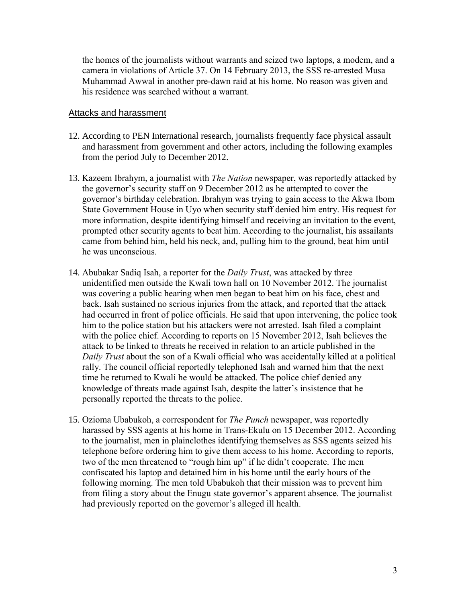the homes of the journalists without warrants and seized two laptops, a modem, and a camera in violations of Article 37. On 14 February 2013, the SSS re-arrested Musa Muhammad Awwal in another pre-dawn raid at his home. No reason was given and his residence was searched without a warrant.

#### Attacks and harassment

- 12. According to PEN International research, journalists frequently face physical assault and harassment from government and other actors, including the following examples from the period July to December 2012.
- 13. Kazeem Ibrahym, a journalist with *The Nation* newspaper, was reportedly attacked by the governor's security staff on 9 December 2012 as he attempted to cover the governor's birthday celebration. Ibrahym was trying to gain access to the Akwa Ibom State Government House in Uyo when security staff denied him entry. His request for more information, despite identifying himself and receiving an invitation to the event, prompted other security agents to beat him. According to the journalist, his assailants came from behind him, held his neck, and, pulling him to the ground, beat him until he was unconscious.
- 14. Abubakar Sadiq Isah, a reporter for the *Daily Trust*, was attacked by three unidentified men outside the Kwali town hall on 10 November 2012. The journalist was covering a public hearing when men began to beat him on his face, chest and back. Isah sustained no serious injuries from the attack, and reported that the attack had occurred in front of police officials. He said that upon intervening, the police took him to the police station but his attackers were not arrested. Isah filed a complaint with the police chief. According to reports on 15 November 2012, Isah believes the attack to be linked to threats he received in relation to an article published in the *Daily Trust* about the son of a Kwali official who was accidentally killed at a political rally. The council official reportedly telephoned Isah and warned him that the next time he returned to Kwali he would be attacked. The police chief denied any knowledge of threats made against Isah, despite the latter's insistence that he personally reported the threats to the police.
- 15. Ozioma Ubabukoh, a correspondent for *The Punch* newspaper, was reportedly harassed by SSS agents at his home in Trans-Ekulu on 15 December 2012. According to the journalist, men in plainclothes identifying themselves as SSS agents seized his telephone before ordering him to give them access to his home. According to reports, two of the men threatened to "rough him up" if he didn't cooperate. The men confiscated his laptop and detained him in his home until the early hours of the following morning. The men told Ubabukoh that their mission was to prevent him from filing a story about the Enugu state governor's apparent absence. The journalist had previously reported on the governor's alleged ill health.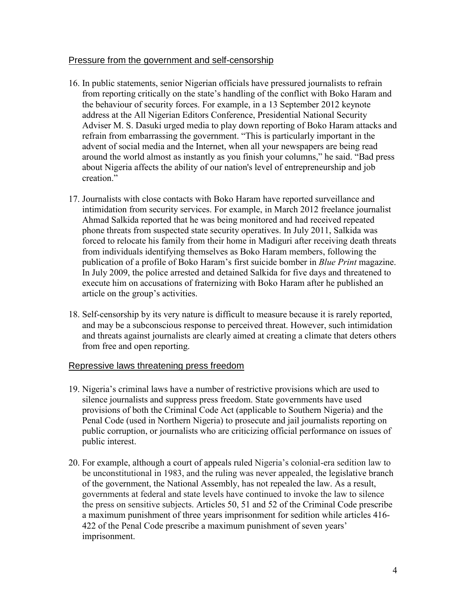### Pressure from the government and self-censorship

- 16. In public statements, senior Nigerian officials have pressured journalists to refrain from reporting critically on the state's handling of the conflict with Boko Haram and the behaviour of security forces. For example, in a 13 September 2012 keynote address at the All Nigerian Editors Conference, Presidential National Security Adviser M. S. Dasuki urged media to play down reporting of Boko Haram attacks and refrain from embarrassing the government. "This is particularly important in the advent of social media and the Internet, when all your newspapers are being read around the world almost as instantly as you finish your columns," he said. "Bad press about Nigeria affects the ability of our nation's level of entrepreneurship and job creation."
- 17. Journalists with close contacts with Boko Haram have reported surveillance and intimidation from security services. For example, in March 2012 freelance journalist Ahmad Salkida reported that he was being monitored and had received repeated phone threats from suspected state security operatives. In July 2011, Salkida was forced to relocate his family from their home in Madiguri after receiving death threats from individuals identifying themselves as Boko Haram members, following the publication of a profile of Boko Haram's first suicide bomber in *Blue Print* magazine. In July 2009, the police arrested and detained Salkida for five days and threatened to execute him on accusations of fraternizing with Boko Haram after he published an article on the group's activities.
- 18. Self-censorship by its very nature is difficult to measure because it is rarely reported, and may be a subconscious response to perceived threat. However, such intimidation and threats against journalists are clearly aimed at creating a climate that deters others from free and open reporting.

#### Repressive laws threatening press freedom

- 19. Nigeria's criminal laws have a number of restrictive provisions which are used to silence journalists and suppress press freedom. State governments have used provisions of both the Criminal Code Act (applicable to Southern Nigeria) and the Penal Code (used in Northern Nigeria) to prosecute and jail journalists reporting on public corruption, or journalists who are criticizing official performance on issues of public interest.
- 20. For example, although a court of appeals ruled Nigeria's colonial-era sedition law to be unconstitutional in 1983, and the ruling was never appealed, the legislative branch of the government, the National Assembly, has not repealed the law. As a result, governments at federal and state levels have continued to invoke the law to silence the press on sensitive subjects. Articles 50, 51 and 52 of the Criminal Code prescribe a maximum punishment of three years imprisonment for sedition while articles 416- 422 of the Penal Code prescribe a maximum punishment of seven years' imprisonment.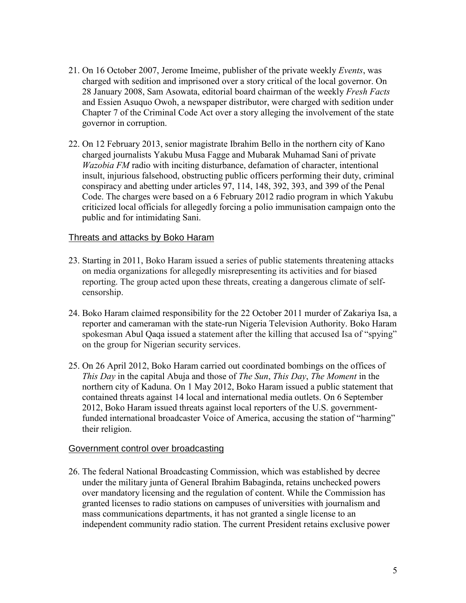- 21. On 16 October 2007, Jerome Imeime, publisher of the private weekly *Events*, was charged with sedition and imprisoned over a story critical of the local governor. On 28 January 2008, Sam Asowata, editorial board chairman of the weekly *Fresh Facts* and Essien Asuquo Owoh, a newspaper distributor, were charged with sedition under Chapter 7 of the Criminal Code Act over a story alleging the involvement of the state governor in corruption.
- 22. On 12 February 2013, senior magistrate Ibrahim Bello in the northern city of Kano charged journalists Yakubu Musa Fagge and Mubarak Muhamad Sani of private *Wazobia FM* radio with inciting disturbance, defamation of character, intentional insult, injurious falsehood, obstructing public officers performing their duty, criminal conspiracy and abetting under articles 97, 114, 148, 392, 393, and 399 of the Penal Code. The charges were based on a 6 February 2012 radio program in which Yakubu criticized local officials for allegedly forcing a polio immunisation campaign onto the public and for intimidating Sani.

#### Threats and attacks by Boko Haram

- 23. Starting in 2011, Boko Haram issued a series of public statements threatening attacks on media organizations for allegedly misrepresenting its activities and for biased reporting. The group acted upon these threats, creating a dangerous climate of selfcensorship.
- 24. Boko Haram claimed responsibility for the 22 October 2011 murder of Zakariya Isa, a reporter and cameraman with the state-run Nigeria Television Authority. Boko Haram spokesman Abul Qaqa issued a statement after the killing that accused Isa of "spying" on the group for Nigerian security services.
- 25. On 26 April 2012, Boko Haram carried out coordinated bombings on the offices of *This Day* in the capital Abuja and those of *The Sun*, *This Day*, *The Moment* in the northern city of Kaduna. On 1 May 2012, Boko Haram issued a public statement that contained threats against 14 local and international media outlets. On 6 September 2012, Boko Haram issued threats against local reporters of the U.S. governmentfunded international broadcaster Voice of America, accusing the station of "harming" their religion.

### Government control over broadcasting

26. The federal National Broadcasting Commission, which was established by decree under the military junta of General Ibrahim Babaginda, retains unchecked powers over mandatory licensing and the regulation of content. While the Commission has granted licenses to radio stations on campuses of universities with journalism and mass communications departments, it has not granted a single license to an independent community radio station. The current President retains exclusive power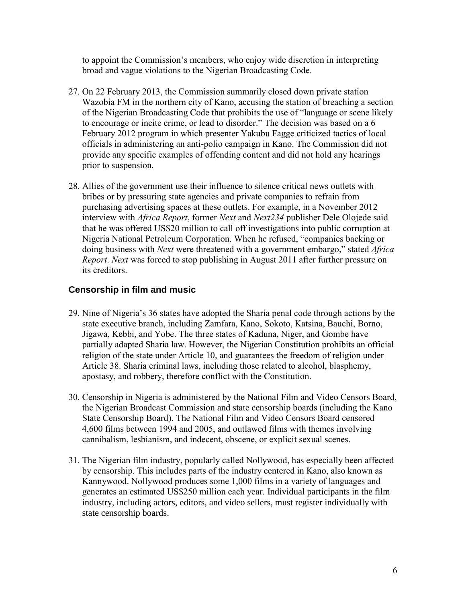to appoint the Commission's members, who enjoy wide discretion in interpreting broad and vague violations to the Nigerian Broadcasting Code.

- 27. On 22 February 2013, the Commission summarily closed down private station Wazobia FM in the northern city of Kano, accusing the station of breaching a section of the Nigerian Broadcasting Code that prohibits the use of "language or scene likely to encourage or incite crime, or lead to disorder." The decision was based on a 6 February 2012 program in which presenter Yakubu Fagge criticized tactics of local officials in administering an anti-polio campaign in Kano. The Commission did not provide any specific examples of offending content and did not hold any hearings prior to suspension.
- 28. Allies of the government use their influence to silence critical news outlets with bribes or by pressuring state agencies and private companies to refrain from purchasing advertising spaces at these outlets. For example, in a November 2012 interview with *Africa Report*, former *Next* and *Next234* publisher Dele Olojede said that he was offered US\$20 million to call off investigations into public corruption at Nigeria National Petroleum Corporation. When he refused, "companies backing or doing business with *Next* were threatened with a government embargo," stated *Africa Report*. *Next* was forced to stop publishing in August 2011 after further pressure on its creditors.

# **Censorship in film and music**

- 29. Nine of Nigeria's 36 states have adopted the Sharia penal code through actions by the state executive branch, including Zamfara, Kano, Sokoto, Katsina, Bauchi, Borno, Jigawa, Kebbi, and Yobe. The three states of Kaduna, Niger, and Gombe have partially adapted Sharia law. However, the Nigerian Constitution prohibits an official religion of the state under Article 10, and guarantees the freedom of religion under Article 38. Sharia criminal laws, including those related to alcohol, blasphemy, apostasy, and robbery, therefore conflict with the Constitution.
- 30. Censorship in Nigeria is administered by the National Film and Video Censors Board, the Nigerian Broadcast Commission and state censorship boards (including the Kano State Censorship Board). The National Film and Video Censors Board censored 4,600 films between 1994 and 2005, and outlawed films with themes involving cannibalism, lesbianism, and indecent, obscene, or explicit sexual scenes.
- 31. The Nigerian film industry, popularly called Nollywood, has especially been affected by censorship. This includes parts of the industry centered in Kano, also known as Kannywood. Nollywood produces some 1,000 films in a variety of languages and generates an estimated US\$250 million each year. Individual participants in the film industry, including actors, editors, and video sellers, must register individually with state censorship boards.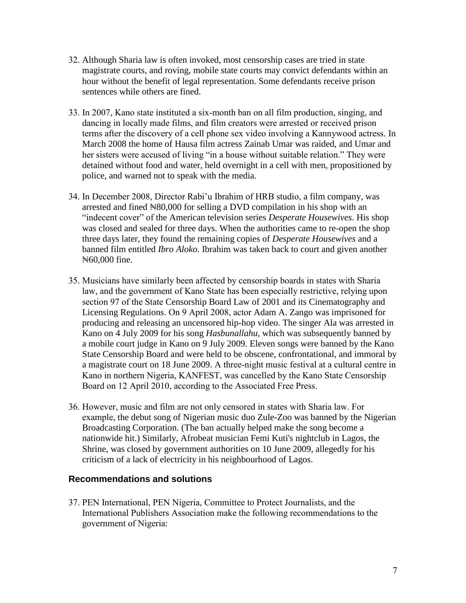- 32. Although Sharia law is often invoked, most censorship cases are tried in state magistrate courts, and roving, mobile state courts may convict defendants within an hour without the benefit of legal representation. Some defendants receive prison sentences while others are fined.
- 33. In 2007, Kano state instituted a six-month ban on all film production, singing, and dancing in locally made films, and film creators were arrested or received prison terms after the discovery of a cell phone sex video involving a Kannywood actress. In March 2008 the home of Hausa film actress Zainab Umar was raided, and Umar and her sisters were accused of living "in a house without suitable relation." They were detained without food and water, held overnight in a cell with men, propositioned by police, and warned not to speak with the media.
- 34. In December 2008, Director Rabi'u Ibrahim of HRB studio, a film company, was arrested and fined ₦80,000 for selling a DVD compilation in his shop with an "indecent cover" of the American television series *Desperate Housewives*. His shop was closed and sealed for three days. When the authorities came to re-open the shop three days later, they found the remaining copies of *Desperate Housewives* and a banned film entitled *Ibro Aloko*. Ibrahim was taken back to court and given another ₦60,000 fine.
- 35. Musicians have similarly been affected by censorship boards in states with Sharia law, and the government of Kano State has been especially restrictive, relying upon section 97 of the State Censorship Board Law of 2001 and its Cinematography and Licensing Regulations. On 9 April 2008, actor Adam A. Zango was imprisoned for producing and releasing an uncensored hip-hop video. The singer Ala was arrested in Kano on 4 July 2009 for his song *Hasbunallahu*, which was subsequently banned by a mobile court judge in Kano on 9 July 2009. Eleven songs were banned by the Kano State Censorship Board and were held to be obscene, confrontational, and immoral by a magistrate court on 18 June 2009. A three-night music festival at a cultural centre in Kano in northern Nigeria, KANFEST, was cancelled by the Kano State Censorship Board on 12 April 2010, according to the Associated Free Press.
- 36. However, music and film are not only censored in states with Sharia law. For example, the debut song of Nigerian music duo Zule-Zoo was banned by the Nigerian Broadcasting Corporation. (The ban actually helped make the song become a nationwide hit.) Similarly, Afrobeat musician Femi Kuti's nightclub in Lagos, the Shrine, was closed by government authorities on 10 June 2009, allegedly for his criticism of a lack of electricity in his neighbourhood of Lagos.

### **Recommendations and solutions**

37. PEN International, PEN Nigeria, Committee to Protect Journalists, and the International Publishers Association make the following recommendations to the government of Nigeria: